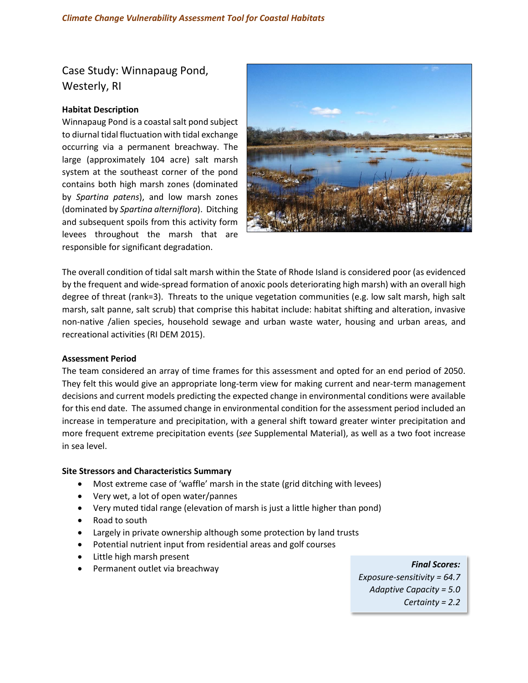Case Study: Winnapaug Pond, Westerly, RI

## **Habitat Description**

Winnapaug Pond is a coastal salt pond subject to diurnal tidal fluctuation with tidal exchange occurring via a permanent breachway. The large (approximately 104 acre) salt marsh system at the southeast corner of the pond contains both high marsh zones (dominated by *Spartina patens*), and low marsh zones (dominated by *Spartina alterniflora*). Ditching and subsequent spoils from this activity form levees throughout the marsh that are responsible for significant degradation.



The overall condition of tidal salt marsh within the State of Rhode Island is considered poor (as evidenced by the frequent and wide-spread formation of anoxic pools deteriorating high marsh) with an overall high degree of threat (rank=3). Threats to the unique vegetation communities (e.g. low salt marsh, high salt marsh, salt panne, salt scrub) that comprise this habitat include: habitat shifting and alteration, invasive non-native /alien species, household sewage and urban waste water, housing and urban areas, and recreational activities (RI DEM 2015).

### **Assessment Period**

The team considered an array of time frames for this assessment and opted for an end period of 2050. They felt this would give an appropriate long-term view for making current and near-term management decisions and current models predicting the expected change in environmental conditions were available for this end date. The assumed change in environmental condition for the assessment period included an increase in temperature and precipitation, with a general shift toward greater winter precipitation and more frequent extreme precipitation events (*see* Supplemental Material), as well as a two foot increase in sea level.

### **Site Stressors and Characteristics Summary**

- Most extreme case of 'waffle' marsh in the state (grid ditching with levees)
- Very wet, a lot of open water/pannes
- Very muted tidal range (elevation of marsh is just a little higher than pond)
- Road to south
- Largely in private ownership although some protection by land trusts
- Potential nutrient input from residential areas and golf courses
- Little high marsh present
- 

Permanent outlet via breachway **Final Scores:** *Exposure-sensitivity = 64.7 Adaptive Capacity = 5.0 Certainty = 2.2*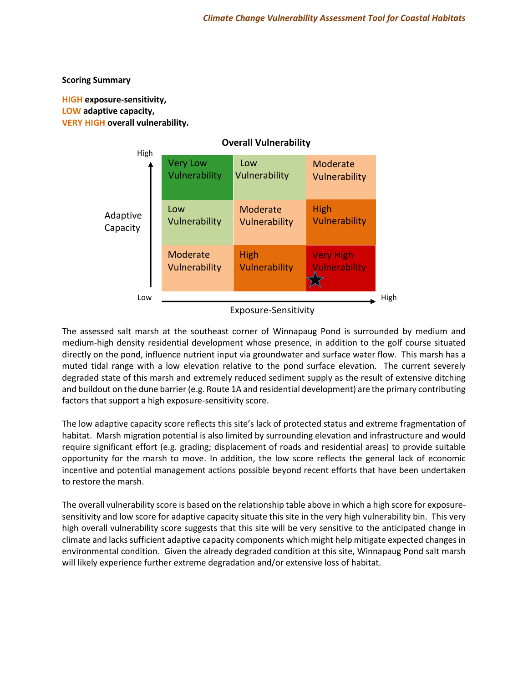## **Scoring Summary**

## **HIGH exposure‐sensitivity, LOW adaptive capacity, VERY HIGH overall vulnerability.**



Vulnerability Exposure-Sensitivity

The assessed salt marsh at the southeast corner of Winnapaug Pond is surrounded by medium and medium-high density residential development whose presence, in addition to the golf course situated directly on the pond, influence nutrient input via groundwater and surface water flow. This marsh has a High muted tidal range with a low elevation relative to the pond surface elevation. The current severely degraded state of this marsh and extremely reduced sediment supply as the result of extensive ditching and buildout on the dune barrier (e.g. Route 1A and residential development) are the primary contributing factors that support a high exposure-sensitivity score.

The low adaptive capacity score reflects this site's lack of protected status and extreme fragmentation of habitat. Marsh migration potential is also limited by surrounding elevation and infrastructure and would require significant effort (e.g. grading; displacement of roads and residential areas) to provide suitable opportunity for the marsh to move. In addition, the low score reflects the general lack of economic incentive and potential management actions possible beyond recent efforts that have been undertaken to restore the marsh.

The overall vulnerability score is based on the relationship table above in which a high score for exposuresensitivity and low score for adaptive capacity situate this site in the very high vulnerability bin. This very high overall vulnerability score suggests that this site will be very sensitive to the anticipated change in climate and lacks sufficient adaptive capacity components which might help mitigate expected changes in environmental condition. Given the already degraded condition at this site, Winnapaug Pond salt marsh will likely experience further extreme degradation and/or extensive loss of habitat.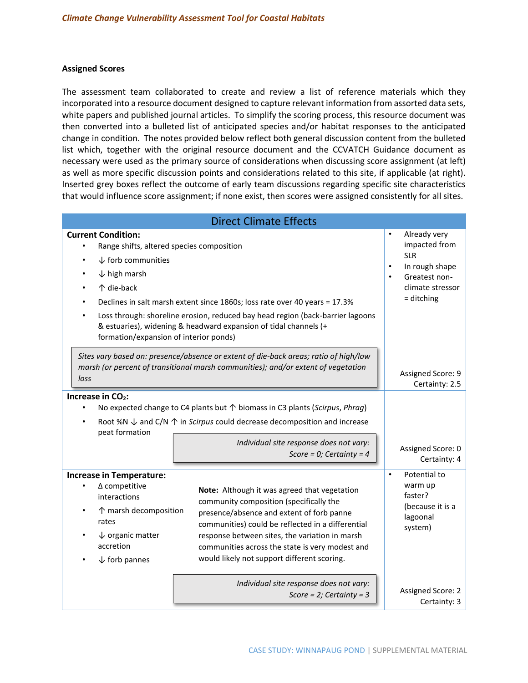### **Assigned Scores**

The assessment team collaborated to create and review a list of reference materials which they incorporated into a resource document designed to capture relevant information from assorted data sets, white papers and published journal articles. To simplify the scoring process, this resource document was then converted into a bulleted list of anticipated species and/or habitat responses to the anticipated change in condition. The notes provided below reflect both general discussion content from the bulleted list which, together with the original resource document and the CCVATCH Guidance document as necessary were used as the primary source of considerations when discussing score assignment (at left) as well as more specific discussion points and considerations related to this site, if applicable (at right). Inserted grey boxes reflect the outcome of early team discussions regarding specific site characteristics that would influence score assignment; if none exist, then scores were assigned consistently for all sites.

| <b>Direct Climate Effects</b>                                                                                                                                                                                                                                                                                                                                                                                                                                                                                                                                                      |                                                                                                                                              |  |  |
|------------------------------------------------------------------------------------------------------------------------------------------------------------------------------------------------------------------------------------------------------------------------------------------------------------------------------------------------------------------------------------------------------------------------------------------------------------------------------------------------------------------------------------------------------------------------------------|----------------------------------------------------------------------------------------------------------------------------------------------|--|--|
| <b>Current Condition:</b><br>Range shifts, altered species composition<br>$\downarrow$ forb communities<br>$\downarrow$ high marsh<br>↑ die-back<br>Declines in salt marsh extent since 1860s; loss rate over 40 years = 17.3%<br>Loss through: shoreline erosion, reduced bay head region (back-barrier lagoons<br>& estuaries), widening & headward expansion of tidal channels (+<br>formation/expansion of interior ponds)                                                                                                                                                     | Already very<br>impacted from<br><b>SLR</b><br>In rough shape<br>$\bullet$<br>Greatest non-<br>$\bullet$<br>climate stressor<br>$=$ ditching |  |  |
| Sites vary based on: presence/absence or extent of die-back areas; ratio of high/low<br>marsh (or percent of transitional marsh communities); and/or extent of vegetation<br>loss                                                                                                                                                                                                                                                                                                                                                                                                  | Assigned Score: 9<br>Certainty: 2.5                                                                                                          |  |  |
| Increase in CO <sub>2</sub> :<br>No expected change to C4 plants but $\uparrow$ biomass in C3 plants (Scirpus, Phrag)<br>Root %N $\downarrow$ and C/N $\uparrow$ in Scirpus could decrease decomposition and increase<br>peat formation<br>Individual site response does not vary:<br>Score = 0; Certainty = $4$                                                                                                                                                                                                                                                                   | Assigned Score: 0<br>Certainty: 4                                                                                                            |  |  |
| <b>Increase in Temperature:</b><br>$\Delta$ competitive<br>٠<br>Note: Although it was agreed that vegetation<br>interactions<br>community composition (specifically the<br>↑ marsh decomposition<br>presence/absence and extent of forb panne<br>rates<br>communities) could be reflected in a differential<br>$\downarrow$ organic matter<br>response between sites, the variation in marsh<br>accretion<br>communities across the state is very modest and<br>would likely not support different scoring.<br>$\downarrow$ forb pannes<br>Individual site response does not vary: | Potential to<br>$\bullet$<br>warm up<br>faster?<br>(because it is a<br>lagoonal<br>system)                                                   |  |  |
| Score = $2$ ; Certainty = 3                                                                                                                                                                                                                                                                                                                                                                                                                                                                                                                                                        | Assigned Score: 2<br>Certainty: 3                                                                                                            |  |  |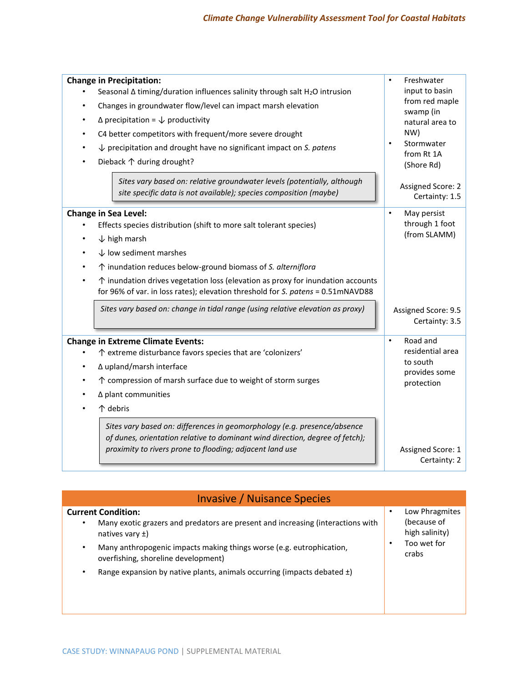| <b>Change in Precipitation:</b>                                                                                                                                                                                      | Freshwater<br>$\bullet$               |
|----------------------------------------------------------------------------------------------------------------------------------------------------------------------------------------------------------------------|---------------------------------------|
| Seasonal $\Delta$ timing/duration influences salinity through salt H <sub>2</sub> O intrusion                                                                                                                        | input to basin                        |
| Changes in groundwater flow/level can impact marsh elevation<br>٠                                                                                                                                                    | from red maple                        |
| $\Delta$ precipitation = $\downarrow$ productivity<br>$\bullet$                                                                                                                                                      | swamp (in<br>natural area to          |
| C4 better competitors with frequent/more severe drought                                                                                                                                                              | NW)                                   |
| $\downarrow$ precipitation and drought have no significant impact on S. patens<br>٠                                                                                                                                  | Stormwater<br>$\bullet$               |
| Dieback 个 during drought?<br>$\bullet$                                                                                                                                                                               | from Rt 1A                            |
|                                                                                                                                                                                                                      | (Shore Rd)                            |
| Sites vary based on: relative groundwater levels (potentially, although                                                                                                                                              | Assigned Score: 2                     |
| site specific data is not available); species composition (maybe)                                                                                                                                                    | Certainty: 1.5                        |
| <b>Change in Sea Level:</b>                                                                                                                                                                                          | May persist<br>$\bullet$              |
| Effects species distribution (shift to more salt tolerant species)                                                                                                                                                   | through 1 foot                        |
| $\downarrow$ high marsh                                                                                                                                                                                              | (from SLAMM)                          |
| $\downarrow$ low sediment marshes<br>$\bullet$                                                                                                                                                                       |                                       |
| ↑ inundation reduces below-ground biomass of S. alterniflora                                                                                                                                                         |                                       |
| $\uparrow$ inundation drives vegetation loss (elevation as proxy for inundation accounts<br>$\bullet$                                                                                                                |                                       |
| for 96% of var. in loss rates); elevation threshold for S. patens = 0.51mNAVD88                                                                                                                                      |                                       |
| Sites vary based on: change in tidal range (using relative elevation as proxy)                                                                                                                                       | Assigned Score: 9.5<br>Certainty: 3.5 |
|                                                                                                                                                                                                                      |                                       |
| <b>Change in Extreme Climate Events:</b>                                                                                                                                                                             | Road and<br>$\bullet$                 |
| ↑ extreme disturbance favors species that are 'colonizers'                                                                                                                                                           | residential area                      |
| ∆ upland/marsh interface                                                                                                                                                                                             | to south<br>provides some             |
| ↑ compression of marsh surface due to weight of storm surges                                                                                                                                                         | protection                            |
| ∆ plant communities<br>$\bullet$                                                                                                                                                                                     |                                       |
| 个 debris                                                                                                                                                                                                             |                                       |
| Sites vary based on: differences in geomorphology (e.g. presence/absence<br>of dunes, orientation relative to dominant wind direction, degree of fetch);<br>proximity to rivers prone to flooding; adjacent land use | Assigned Score: 1<br>Certainty: 2     |
|                                                                                                                                                                                                                      |                                       |

|                                                        | <b>Invasive / Nuisance Species</b>                                                                          |                                                                         |
|--------------------------------------------------------|-------------------------------------------------------------------------------------------------------------|-------------------------------------------------------------------------|
| <b>Current Condition:</b><br>٠<br>natives vary $\pm$ ) | Many exotic grazers and predators are present and increasing (interactions with                             | Low Phragmites<br>(because of<br>high salinity)<br>Too wet for<br>crabs |
| ٠                                                      | Many anthropogenic impacts making things worse (e.g. eutrophication,<br>overfishing, shoreline development) |                                                                         |
|                                                        | Range expansion by native plants, animals occurring (impacts debated $\pm$ )                                |                                                                         |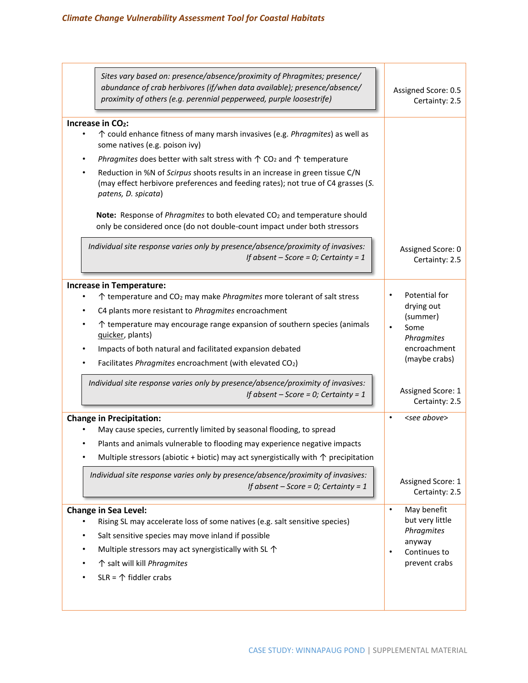| Sites vary based on: presence/absence/proximity of Phragmites; presence/<br>abundance of crab herbivores (if/when data available); presence/absence/<br>proximity of others (e.g. perennial pepperweed, purple loosestrife)                                                                                                                                                                                                                                                                                                                                                                                                                                                                                                                                                  | Assigned Score: 0.5<br>Certainty: 2.5                                                                                                 |
|------------------------------------------------------------------------------------------------------------------------------------------------------------------------------------------------------------------------------------------------------------------------------------------------------------------------------------------------------------------------------------------------------------------------------------------------------------------------------------------------------------------------------------------------------------------------------------------------------------------------------------------------------------------------------------------------------------------------------------------------------------------------------|---------------------------------------------------------------------------------------------------------------------------------------|
| Increase in CO <sub>2</sub> :<br>↑ could enhance fitness of many marsh invasives (e.g. <i>Phragmites</i> ) as well as<br>$\bullet$<br>some natives (e.g. poison ivy)<br>Phragmites does better with salt stress with $\uparrow$ CO <sub>2</sub> and $\uparrow$ temperature<br>٠<br>Reduction in %N of Scirpus shoots results in an increase in green tissue C/N<br>(may effect herbivore preferences and feeding rates); not true of C4 grasses (S.<br>patens, D. spicata)<br>Note: Response of Phragmites to both elevated CO <sub>2</sub> and temperature should<br>only be considered once (do not double-count impact under both stressors<br>Individual site response varies only by presence/absence/proximity of invasives:<br>If absent $-$ Score = 0; Certainty = 1 | Assigned Score: 0<br>Certainty: 2.5                                                                                                   |
| <b>Increase in Temperature:</b><br>$\uparrow$ temperature and CO <sub>2</sub> may make <i>Phragmites</i> more tolerant of salt stress<br>C4 plants more resistant to Phragmites encroachment<br>$\uparrow$ temperature may encourage range expansion of southern species (animals<br>٠<br>quicker, plants)<br>Impacts of both natural and facilitated expansion debated<br>Facilitates Phragmites encroachment (with elevated CO2)<br>Individual site response varies only by presence/absence/proximity of invasives:<br>If absent $-$ Score = 0; Certainty = 1                                                                                                                                                                                                             | Potential for<br>drying out<br>(summer)<br>Some<br>Phragmites<br>encroachment<br>(maybe crabs)<br>Assigned Score: 1<br>Certainty: 2.5 |
| <b>Change in Precipitation:</b><br>May cause species, currently limited by seasonal flooding, to spread<br>Plants and animals vulnerable to flooding may experience negative impacts<br>Multiple stressors (abiotic + biotic) may act synergistically with $\uparrow$ precipitation<br>Individual site response varies only by presence/absence/proximity of invasives:<br>If absent $-$ Score = 0; Certainty = 1                                                                                                                                                                                                                                                                                                                                                            | <see above=""><br/><math display="inline">\bullet</math><br/>Assigned Score: 1<br/>Certainty: 2.5</see>                               |
| <b>Change in Sea Level:</b><br>Rising SL may accelerate loss of some natives (e.g. salt sensitive species)<br>Salt sensitive species may move inland if possible<br>Multiple stressors may act synergistically with SL $\uparrow$<br>$\bullet$<br>↑ salt will kill Phragmites<br>$SLR = \mathcal{D}$ fiddler crabs                                                                                                                                                                                                                                                                                                                                                                                                                                                           | May benefit<br>$\bullet$<br>but very little<br>Phragmites<br>anyway<br>Continues to<br>$\bullet$<br>prevent crabs                     |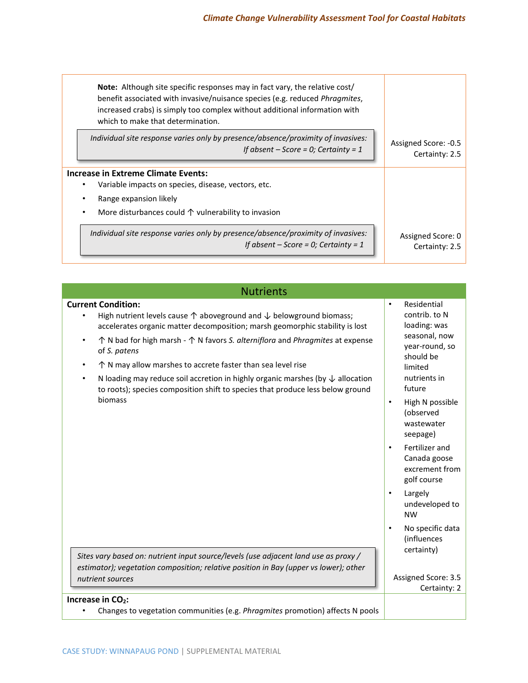| <b>Note:</b> Although site specific responses may in fact vary, the relative cost/<br>benefit associated with invasive/nuisance species (e.g. reduced Phragmites,<br>increased crabs) is simply too complex without additional information with<br>which to make that determination. |                      |
|--------------------------------------------------------------------------------------------------------------------------------------------------------------------------------------------------------------------------------------------------------------------------------------|----------------------|
| Individual site response varies only by presence/absence/proximity of invasives:                                                                                                                                                                                                     | Assigned Score: -0.5 |
| If absent $-$ Score = 0; Certainty = 1                                                                                                                                                                                                                                               | Certainty: 2.5       |
| Increase in Extreme Climate Events:<br>Variable impacts on species, disease, vectors, etc.<br>Range expansion likely<br>More disturbances could $\uparrow$ vulnerability to invasion                                                                                                 |                      |
| Individual site response varies only by presence/absence/proximity of invasives:                                                                                                                                                                                                     | Assigned Score: 0    |
| If absent $-$ Score = 0; Certainty = 1                                                                                                                                                                                                                                               | Certainty: 2.5       |

| <b>Nutrients</b>                                                                                                                                                                                                                                                                                                                                                                                                                                                                                                                                                                                         |                                                                                                                                                     |  |
|----------------------------------------------------------------------------------------------------------------------------------------------------------------------------------------------------------------------------------------------------------------------------------------------------------------------------------------------------------------------------------------------------------------------------------------------------------------------------------------------------------------------------------------------------------------------------------------------------------|-----------------------------------------------------------------------------------------------------------------------------------------------------|--|
| <b>Current Condition:</b><br>High nutrient levels cause $\uparrow$ aboveground and $\downarrow$ belowground biomass;<br>accelerates organic matter decomposition; marsh geomorphic stability is lost<br>$\uparrow$ N bad for high marsh - $\uparrow$ N favors S. alterniflora and Phragmites at expense<br>$\bullet$<br>of S. patens<br>$\uparrow$ N may allow marshes to accrete faster than sea level rise<br>N loading may reduce soil accretion in highly organic marshes (by $\downarrow$ allocation<br>$\bullet$<br>to roots); species composition shift to species that produce less below ground | Residential<br>$\bullet$<br>contrib. to N<br>loading: was<br>seasonal, now<br>year-round, so<br>should be<br>limited<br>nutrients in<br>future      |  |
| biomass                                                                                                                                                                                                                                                                                                                                                                                                                                                                                                                                                                                                  | High N possible<br>$\bullet$<br>(observed<br>wastewater<br>seepage)<br>Fertilizer and<br>$\bullet$<br>Canada goose<br>excrement from<br>golf course |  |
|                                                                                                                                                                                                                                                                                                                                                                                                                                                                                                                                                                                                          | Largely<br>$\bullet$<br>undeveloped to<br><b>NW</b>                                                                                                 |  |
| Sites vary based on: nutrient input source/levels (use adjacent land use as proxy /<br>estimator); vegetation composition; relative position in Bay (upper vs lower); other<br>nutrient sources                                                                                                                                                                                                                                                                                                                                                                                                          | No specific data<br>(influences<br>certainty)<br>Assigned Score: 3.5<br>Certainty: 2                                                                |  |
| Increase in $CO2$ :<br>Changes to vegetation communities (e.g. Phragmites promotion) affects N pools                                                                                                                                                                                                                                                                                                                                                                                                                                                                                                     |                                                                                                                                                     |  |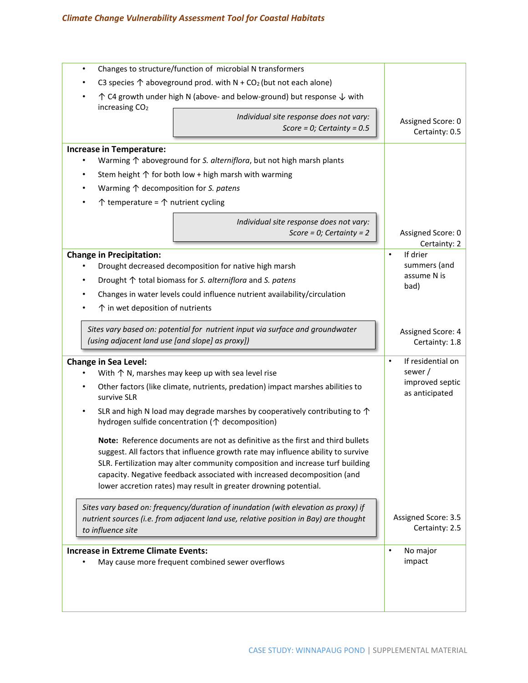# *Climate Change Vulnerability Assessment Tool for Coastal Habitats*

| Changes to structure/function of microbial N transformers<br>$\bullet$                                                                                                                                                                                                                                                                                                                              |                                       |
|-----------------------------------------------------------------------------------------------------------------------------------------------------------------------------------------------------------------------------------------------------------------------------------------------------------------------------------------------------------------------------------------------------|---------------------------------------|
| C3 species $\uparrow$ aboveground prod. with N + CO <sub>2</sub> (but not each alone)                                                                                                                                                                                                                                                                                                               |                                       |
| $\uparrow$ C4 growth under high N (above- and below-ground) but response $\downarrow$ with<br>increasing CO <sub>2</sub>                                                                                                                                                                                                                                                                            |                                       |
| Individual site response does not vary:<br>Score = 0; Certainty = $0.5$                                                                                                                                                                                                                                                                                                                             | Assigned Score: 0<br>Certainty: 0.5   |
| <b>Increase in Temperature:</b>                                                                                                                                                                                                                                                                                                                                                                     |                                       |
| Warming $\uparrow$ aboveground for S. alterniflora, but not high marsh plants                                                                                                                                                                                                                                                                                                                       |                                       |
| Stem height $\uparrow$ for both low + high marsh with warming                                                                                                                                                                                                                                                                                                                                       |                                       |
| Warming $\uparrow$ decomposition for S. patens<br>$\bullet$                                                                                                                                                                                                                                                                                                                                         |                                       |
| $\uparrow$ temperature = $\uparrow$ nutrient cycling                                                                                                                                                                                                                                                                                                                                                |                                       |
| Individual site response does not vary:<br>Score = $0$ ; Certainty = 2                                                                                                                                                                                                                                                                                                                              | Assigned Score: 0<br>Certainty: 2     |
| <b>Change in Precipitation:</b>                                                                                                                                                                                                                                                                                                                                                                     | If drier<br>$\bullet$                 |
| Drought decreased decomposition for native high marsh                                                                                                                                                                                                                                                                                                                                               | summers (and                          |
| Drought ↑ total biomass for S. alterniflora and S. patens<br>٠                                                                                                                                                                                                                                                                                                                                      | assume N is<br>bad)                   |
| Changes in water levels could influence nutrient availability/circulation                                                                                                                                                                                                                                                                                                                           |                                       |
| $\uparrow$ in wet deposition of nutrients                                                                                                                                                                                                                                                                                                                                                           |                                       |
| Sites vary based on: potential for nutrient input via surface and groundwater                                                                                                                                                                                                                                                                                                                       | Assigned Score: 4                     |
| (using adjacent land use [and slope] as proxy])                                                                                                                                                                                                                                                                                                                                                     | Certainty: 1.8                        |
| Change in Sea Level:                                                                                                                                                                                                                                                                                                                                                                                | If residential on<br>$\bullet$        |
| With $\uparrow$ N, marshes may keep up with sea level rise                                                                                                                                                                                                                                                                                                                                          | sewer/                                |
| Other factors (like climate, nutrients, predation) impact marshes abilities to<br>survive SLR                                                                                                                                                                                                                                                                                                       | improved septic<br>as anticipated     |
| SLR and high N load may degrade marshes by cooperatively contributing to $\uparrow$<br>$\bullet$<br>hydrogen sulfide concentration (个 decomposition)                                                                                                                                                                                                                                                |                                       |
| Note: Reference documents are not as definitive as the first and third bullets<br>suggest. All factors that influence growth rate may influence ability to survive<br>SLR. Fertilization may alter community composition and increase turf building<br>capacity. Negative feedback associated with increased decomposition (and<br>lower accretion rates) may result in greater drowning potential. |                                       |
| Sites vary based on: frequency/duration of inundation (with elevation as proxy) if<br>nutrient sources (i.e. from adjacent land use, relative position in Bay) are thought<br>to influence site                                                                                                                                                                                                     | Assigned Score: 3.5<br>Certainty: 2.5 |
| <b>Increase in Extreme Climate Events:</b>                                                                                                                                                                                                                                                                                                                                                          | No major<br>$\bullet$                 |
| May cause more frequent combined sewer overflows                                                                                                                                                                                                                                                                                                                                                    | impact                                |
|                                                                                                                                                                                                                                                                                                                                                                                                     |                                       |
|                                                                                                                                                                                                                                                                                                                                                                                                     |                                       |
|                                                                                                                                                                                                                                                                                                                                                                                                     |                                       |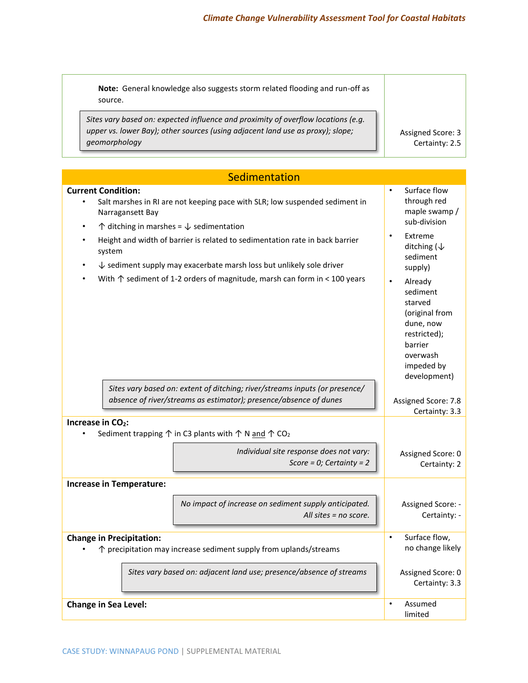| Note: General knowledge also suggests storm related flooding and run-off as<br>source.                                                                                                                                                                                                                                                                                                                                                                                      |                                                                                                                                                                                                                                                                                           |
|-----------------------------------------------------------------------------------------------------------------------------------------------------------------------------------------------------------------------------------------------------------------------------------------------------------------------------------------------------------------------------------------------------------------------------------------------------------------------------|-------------------------------------------------------------------------------------------------------------------------------------------------------------------------------------------------------------------------------------------------------------------------------------------|
| Sites vary based on: expected influence and proximity of overflow locations (e.g.<br>upper vs. lower Bay); other sources (using adjacent land use as proxy); slope;<br>geomorphology                                                                                                                                                                                                                                                                                        | Assigned Score: 3<br>Certainty: 2.5                                                                                                                                                                                                                                                       |
| Sedimentation                                                                                                                                                                                                                                                                                                                                                                                                                                                               |                                                                                                                                                                                                                                                                                           |
| <b>Current Condition:</b><br>Salt marshes in RI are not keeping pace with SLR; low suspended sediment in<br>$\bullet$<br>Narragansett Bay<br>$\uparrow$ ditching in marshes = $\downarrow$ sedimentation<br>Height and width of barrier is related to sedimentation rate in back barrier<br>system<br>$\downarrow$ sediment supply may exacerbate marsh loss but unlikely sole driver<br>With $\uparrow$ sediment of 1-2 orders of magnitude, marsh can form in < 100 years | Surface flow<br>$\bullet$<br>through red<br>maple swamp /<br>sub-division<br>Extreme<br>ditching ( $\downarrow$<br>sediment<br>supply)<br>$\bullet$<br>Already<br>sediment<br>starved<br>(original from<br>dune, now<br>restricted);<br>barrier<br>overwash<br>impeded by<br>development) |
| Sites vary based on: extent of ditching; river/streams inputs (or presence/<br>absence of river/streams as estimator); presence/absence of dunes                                                                                                                                                                                                                                                                                                                            | Assigned Score: 7.8<br>Certainty: 3.3                                                                                                                                                                                                                                                     |
| Increase in CO <sub>2</sub> :<br>Sediment trapping $\uparrow$ in C3 plants with $\uparrow$ N and $\uparrow$ CO <sub>2</sub><br>Individual site response does not vary:<br>Score = $0$ ; Certainty = $2$                                                                                                                                                                                                                                                                     | Assigned Score: 0<br>Certainty: 2                                                                                                                                                                                                                                                         |
| <b>Increase in Temperature:</b><br>No impact of increase on sediment supply anticipated.<br>All sites $=$ no score.                                                                                                                                                                                                                                                                                                                                                         | Assigned Score: -<br>Certainty: -                                                                                                                                                                                                                                                         |
| <b>Change in Precipitation:</b><br>↑ precipitation may increase sediment supply from uplands/streams<br>Sites vary based on: adjacent land use; presence/absence of streams                                                                                                                                                                                                                                                                                                 | Surface flow,<br>$\bullet$<br>no change likely<br>Assigned Score: 0<br>Certainty: 3.3                                                                                                                                                                                                     |
| <b>Change in Sea Level:</b>                                                                                                                                                                                                                                                                                                                                                                                                                                                 | Assumed<br>limited                                                                                                                                                                                                                                                                        |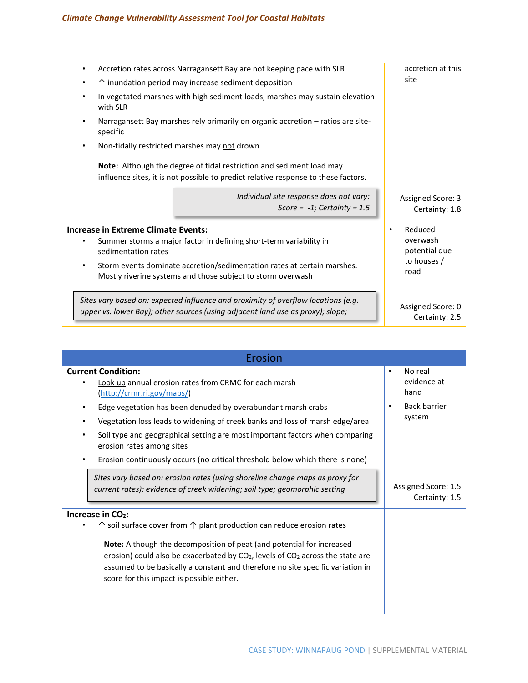# *Climate Change Vulnerability Assessment Tool for Coastal Habitats*

| $\bullet$ | Accretion rates across Narragansett Bay are not keeping pace with SLR                                                                                               | accretion at this                   |
|-----------|---------------------------------------------------------------------------------------------------------------------------------------------------------------------|-------------------------------------|
| ٠         | $\uparrow$ inundation period may increase sediment deposition                                                                                                       | site                                |
| $\bullet$ | In vegetated marshes with high sediment loads, marshes may sustain elevation<br>with SLR                                                                            |                                     |
| ٠         | Narragansett Bay marshes rely primarily on organic accretion - ratios are site-<br>specific                                                                         |                                     |
| $\bullet$ | Non-tidally restricted marshes may not drown                                                                                                                        |                                     |
|           | Note: Although the degree of tidal restriction and sediment load may<br>influence sites, it is not possible to predict relative response to these factors.          |                                     |
|           | Individual site response does not vary:<br>Score = $-1$ ; Certainty = 1.5                                                                                           | Assigned Score: 3<br>Certainty: 1.8 |
|           | <b>Increase in Extreme Climate Events:</b>                                                                                                                          | Reduced<br>$\bullet$                |
|           | Summer storms a major factor in defining short-term variability in<br>sedimentation rates                                                                           | overwash<br>potential due           |
| $\bullet$ | Storm events dominate accretion/sedimentation rates at certain marshes.<br>Mostly riverine systems and those subject to storm overwash                              | to houses /<br>road                 |
|           | Sites vary based on: expected influence and proximity of overflow locations (e.g.<br>upper vs. lower Bay); other sources (using adjacent land use as proxy); slope; | Assigned Score: 0<br>Certainty: 2.5 |

| Erosion                                                                                                                                                                                                                                                                                                                                                                                                                                                                     |                                                                                           |
|-----------------------------------------------------------------------------------------------------------------------------------------------------------------------------------------------------------------------------------------------------------------------------------------------------------------------------------------------------------------------------------------------------------------------------------------------------------------------------|-------------------------------------------------------------------------------------------|
| <b>Current Condition:</b><br>Look up annual erosion rates from CRMC for each marsh<br>(http://crmr.ri.gov/maps/)<br>Edge vegetation has been denuded by overabundant marsh crabs<br>Vegetation loss leads to widening of creek banks and loss of marsh edge/area<br>Soil type and geographical setting are most important factors when comparing<br>$\bullet$<br>erosion rates among sites<br>Erosion continuously occurs (no critical threshold below which there is none) | No real<br>$\bullet$<br>evidence at<br>hand<br><b>Back barrier</b><br>$\bullet$<br>system |
| Sites vary based on: erosion rates (using shoreline change maps as proxy for<br>current rates); evidence of creek widening; soil type; geomorphic setting                                                                                                                                                                                                                                                                                                                   | Assigned Score: 1.5<br>Certainty: 1.5                                                     |
| Increase in $CO2$ :<br>$\uparrow$ soil surface cover from $\uparrow$ plant production can reduce erosion rates<br>Note: Although the decomposition of peat (and potential for increased<br>erosion) could also be exacerbated by $CO2$ , levels of $CO2$ across the state are<br>assumed to be basically a constant and therefore no site specific variation in<br>score for this impact is possible either.                                                                |                                                                                           |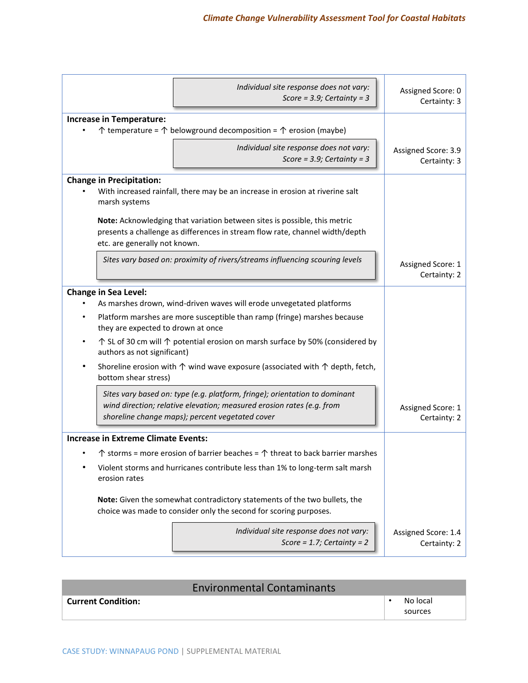| Individual site response does not vary:<br>Score = $3.9$ ; Certainty = $3$                                                                                                                             | Assigned Score: 0<br>Certainty: 3   |
|--------------------------------------------------------------------------------------------------------------------------------------------------------------------------------------------------------|-------------------------------------|
| <b>Increase in Temperature:</b><br>$\uparrow$ temperature = $\uparrow$ belowground decomposition = $\uparrow$ erosion (maybe)                                                                          |                                     |
| Individual site response does not vary:<br>Score = $3.9$ ; Certainty = $3$                                                                                                                             | Assigned Score: 3.9<br>Certainty: 3 |
| <b>Change in Precipitation:</b><br>With increased rainfall, there may be an increase in erosion at riverine salt<br>marsh systems                                                                      |                                     |
| Note: Acknowledging that variation between sites is possible, this metric<br>presents a challenge as differences in stream flow rate, channel width/depth<br>etc. are generally not known.             |                                     |
| Sites vary based on: proximity of rivers/streams influencing scouring levels                                                                                                                           | Assigned Score: 1<br>Certainty: 2   |
| <b>Change in Sea Level:</b>                                                                                                                                                                            |                                     |
| As marshes drown, wind-driven waves will erode unvegetated platforms                                                                                                                                   |                                     |
| Platform marshes are more susceptible than ramp (fringe) marshes because<br>they are expected to drown at once                                                                                         |                                     |
| ↑ SL of 30 cm will ↑ potential erosion on marsh surface by 50% (considered by<br>authors as not significant)                                                                                           |                                     |
| Shoreline erosion with $\uparrow$ wind wave exposure (associated with $\uparrow$ depth, fetch,<br>٠<br>bottom shear stress)                                                                            |                                     |
| Sites vary based on: type (e.g. platform, fringe); orientation to dominant<br>wind direction; relative elevation; measured erosion rates (e.g. from<br>shoreline change maps); percent vegetated cover | Assigned Score: 1<br>Certainty: 2   |
| <b>Increase in Extreme Climate Events:</b>                                                                                                                                                             |                                     |
| $\uparrow$ storms = more erosion of barrier beaches = $\uparrow$ threat to back barrier marshes                                                                                                        |                                     |
| Violent storms and hurricanes contribute less than 1% to long-term salt marsh<br>erosion rates                                                                                                         |                                     |
| Note: Given the somewhat contradictory statements of the two bullets, the<br>choice was made to consider only the second for scoring purposes.                                                         |                                     |
| Individual site response does not vary:<br>Score = 1.7; Certainty = $2$                                                                                                                                | Assigned Score: 1.4<br>Certainty: 2 |

| <b>Environmental Contaminants</b> |                     |
|-----------------------------------|---------------------|
| Current Condition:                | No local<br>sources |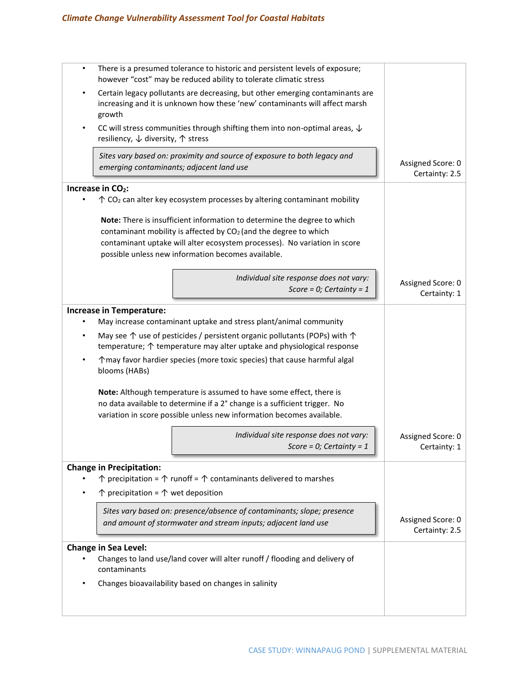| $\bullet$                     | There is a presumed tolerance to historic and persistent levels of exposure;<br>however "cost" may be reduced ability to tolerate climatic stress                                                                                                                                           |                                     |
|-------------------------------|---------------------------------------------------------------------------------------------------------------------------------------------------------------------------------------------------------------------------------------------------------------------------------------------|-------------------------------------|
|                               | Certain legacy pollutants are decreasing, but other emerging contaminants are<br>increasing and it is unknown how these 'new' contaminants will affect marsh<br>growth                                                                                                                      |                                     |
|                               | CC will stress communities through shifting them into non-optimal areas, $\downarrow$<br>resiliency, ↓ diversity, ↑ stress                                                                                                                                                                  |                                     |
|                               | Sites vary based on: proximity and source of exposure to both legacy and<br>emerging contaminants; adjacent land use                                                                                                                                                                        | Assigned Score: 0<br>Certainty: 2.5 |
| Increase in CO <sub>2</sub> : |                                                                                                                                                                                                                                                                                             |                                     |
|                               | Note: There is insufficient information to determine the degree to which<br>contaminant mobility is affected by CO <sub>2</sub> (and the degree to which<br>contaminant uptake will alter ecosystem processes). No variation in score<br>possible unless new information becomes available. |                                     |
|                               | Individual site response does not vary:<br>Score = $0$ ; Certainty = 1                                                                                                                                                                                                                      | Assigned Score: 0<br>Certainty: 1   |
|                               | <b>Increase in Temperature:</b><br>May increase contaminant uptake and stress plant/animal community                                                                                                                                                                                        |                                     |
|                               | May see $\uparrow$ use of pesticides / persistent organic pollutants (POPs) with $\uparrow$<br>temperature; $\uparrow$ temperature may alter uptake and physiological response                                                                                                              |                                     |
| ٠                             | ↑ may favor hardier species (more toxic species) that cause harmful algal<br>blooms (HABs)                                                                                                                                                                                                  |                                     |
|                               | Note: Although temperature is assumed to have some effect, there is<br>no data available to determine if a 2° change is a sufficient trigger. No<br>variation in score possible unless new information becomes available.                                                                   |                                     |
|                               | Individual site response does not vary:<br>Score = $0$ ; Certainty = 1                                                                                                                                                                                                                      | Assigned Score: 0<br>Certainty: 1   |
|                               | <b>Change in Precipitation:</b><br>$\uparrow$ precipitation = $\uparrow$ runoff = $\uparrow$ contaminants delivered to marshes                                                                                                                                                              |                                     |
|                               | $\uparrow$ precipitation = $\uparrow$ wet deposition                                                                                                                                                                                                                                        |                                     |
|                               | Sites vary based on: presence/absence of contaminants; slope; presence<br>and amount of stormwater and stream inputs; adjacent land use                                                                                                                                                     | Assigned Score: 0<br>Certainty: 2.5 |
| <b>Change in Sea Level:</b>   |                                                                                                                                                                                                                                                                                             |                                     |
|                               | Changes to land use/land cover will alter runoff / flooding and delivery of<br>contaminants                                                                                                                                                                                                 |                                     |
|                               | Changes bioavailability based on changes in salinity                                                                                                                                                                                                                                        |                                     |
|                               |                                                                                                                                                                                                                                                                                             |                                     |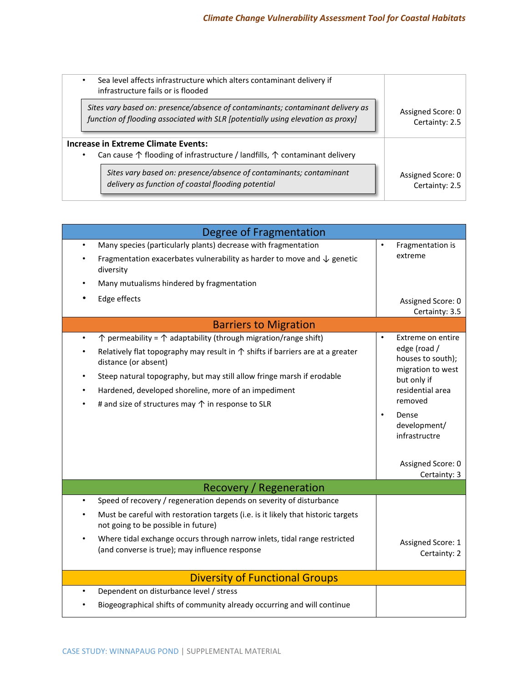| Sea level affects infrastructure which alters contaminant delivery if<br>infrastructure fails or is flooded                                      |                   |
|--------------------------------------------------------------------------------------------------------------------------------------------------|-------------------|
| Sites vary based on: presence/absence of contaminants; contaminant delivery as                                                                   | Assigned Score: 0 |
| function of flooding associated with SLR [potentially using elevation as proxy]                                                                  | Certainty: 2.5    |
| Increase in Extreme Climate Events:<br>Can cause $\uparrow$ flooding of infrastructure / landfills, $\uparrow$ contaminant delivery<br>$\bullet$ |                   |
| Sites vary based on: presence/absence of contaminants; contaminant                                                                               | Assigned Score: 0 |
| delivery as function of coastal flooding potential                                                                                               | Certainty: 2.5    |

| Degree of Fragmentation                                                                                                                                                                                                                           |                                                                                           |  |  |  |  |  |  |
|---------------------------------------------------------------------------------------------------------------------------------------------------------------------------------------------------------------------------------------------------|-------------------------------------------------------------------------------------------|--|--|--|--|--|--|
| Many species (particularly plants) decrease with fragmentation<br>$\bullet$<br>Fragmentation exacerbates vulnerability as harder to move and $\downarrow$ genetic<br>diversity<br>Many mutualisms hindered by fragmentation<br>Edge effects       | Fragmentation is<br>extreme<br>Assigned Score: 0                                          |  |  |  |  |  |  |
|                                                                                                                                                                                                                                                   | Certainty: 3.5                                                                            |  |  |  |  |  |  |
| <b>Barriers to Migration</b><br>$\uparrow$ permeability = $\uparrow$ adaptability (through migration/range shift)<br>$\bullet$                                                                                                                    | Extreme on entire<br>$\bullet$                                                            |  |  |  |  |  |  |
| Relatively flat topography may result in $\uparrow$ shifts if barriers are at a greater<br>distance (or absent)<br>Steep natural topography, but may still allow fringe marsh if erodable<br>Hardened, developed shoreline, more of an impediment | edge (road /<br>houses to south);<br>migration to west<br>but only if<br>residential area |  |  |  |  |  |  |
| # and size of structures may $\uparrow$ in response to SLR                                                                                                                                                                                        | removed<br>Dense<br>$\bullet$<br>development/<br>infrastructre<br>Assigned Score: 0       |  |  |  |  |  |  |
|                                                                                                                                                                                                                                                   | Certainty: 3                                                                              |  |  |  |  |  |  |
| Recovery / Regeneration<br>Speed of recovery / regeneration depends on severity of disturbance<br>$\bullet$                                                                                                                                       |                                                                                           |  |  |  |  |  |  |
| Must be careful with restoration targets (i.e. is it likely that historic targets<br>not going to be possible in future)                                                                                                                          |                                                                                           |  |  |  |  |  |  |
| Where tidal exchange occurs through narrow inlets, tidal range restricted<br>(and converse is true); may influence response                                                                                                                       | Assigned Score: 1<br>Certainty: 2                                                         |  |  |  |  |  |  |
| <b>Diversity of Functional Groups</b>                                                                                                                                                                                                             |                                                                                           |  |  |  |  |  |  |
| Dependent on disturbance level / stress<br>$\bullet$                                                                                                                                                                                              |                                                                                           |  |  |  |  |  |  |
| Biogeographical shifts of community already occurring and will continue                                                                                                                                                                           |                                                                                           |  |  |  |  |  |  |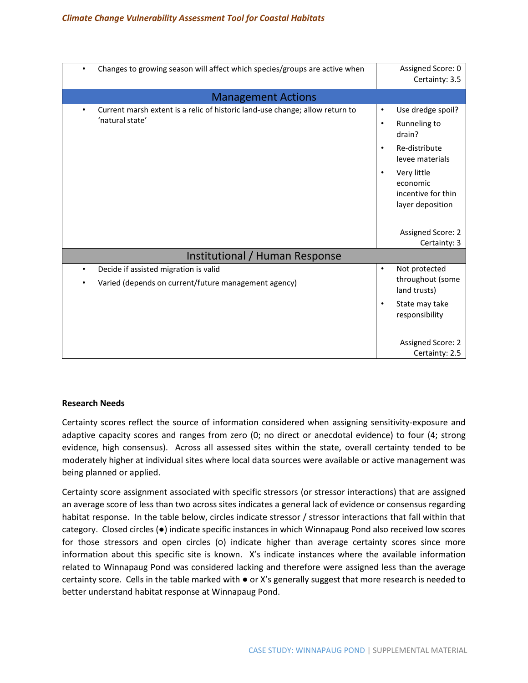| Changes to growing season will affect which species/groups are active when<br>٠                              | Assigned Score: 0<br>Certainty: 3.5                                                                                                                                                                      |  |  |  |  |  |  |
|--------------------------------------------------------------------------------------------------------------|----------------------------------------------------------------------------------------------------------------------------------------------------------------------------------------------------------|--|--|--|--|--|--|
| <b>Management Actions</b>                                                                                    |                                                                                                                                                                                                          |  |  |  |  |  |  |
| Current marsh extent is a relic of historic land-use change; allow return to<br>$\bullet$<br>'natural state' | Use dredge spoil?<br>$\bullet$<br>Runneling to<br>$\bullet$<br>drain?<br>Re-distribute<br>$\bullet$<br>levee materials<br>Very little<br>$\bullet$<br>economic<br>incentive for thin<br>layer deposition |  |  |  |  |  |  |
|                                                                                                              | Assigned Score: 2<br>Certainty: 3                                                                                                                                                                        |  |  |  |  |  |  |
| Institutional / Human Response                                                                               |                                                                                                                                                                                                          |  |  |  |  |  |  |
| Decide if assisted migration is valid<br>٠<br>Varied (depends on current/future management agency)           | Not protected<br>$\bullet$<br>throughout (some<br>land trusts)<br>State may take<br>$\bullet$<br>responsibility                                                                                          |  |  |  |  |  |  |
|                                                                                                              | <b>Assigned Score: 2</b><br>Certainty: 2.5                                                                                                                                                               |  |  |  |  |  |  |

### **Research Needs**

Certainty scores reflect the source of information considered when assigning sensitivity-exposure and adaptive capacity scores and ranges from zero (0; no direct or anecdotal evidence) to four (4; strong evidence, high consensus). Across all assessed sites within the state, overall certainty tended to be moderately higher at individual sites where local data sources were available or active management was being planned or applied.

Certainty score assignment associated with specific stressors (or stressor interactions) that are assigned an average score of less than two across sites indicates a general lack of evidence or consensus regarding habitat response. In the table below, circles indicate stressor / stressor interactions that fall within that category. Closed circles (●) indicate specific instances in which Winnapaug Pond also received low scores for those stressors and open circles (o) indicate higher than average certainty scores since more information about this specific site is known. X's indicate instances where the available information related to Winnapaug Pond was considered lacking and therefore were assigned less than the average certainty score. Cells in the table marked with ● or X's generally suggest that more research is needed to better understand habitat response at Winnapaug Pond.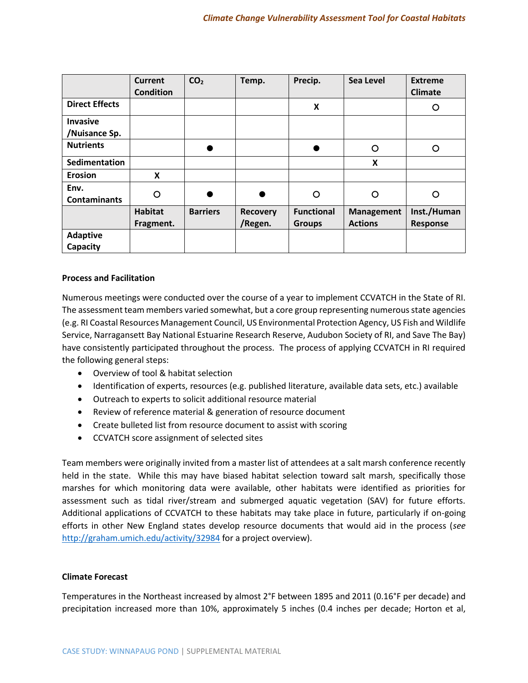|                                  | <b>Current</b><br><b>Condition</b> | CO <sub>2</sub> | Temp.                      | Precip.                            | Sea Level                           | <b>Extreme</b><br><b>Climate</b> |
|----------------------------------|------------------------------------|-----------------|----------------------------|------------------------------------|-------------------------------------|----------------------------------|
| <b>Direct Effects</b>            |                                    |                 |                            | X                                  |                                     | O                                |
| <b>Invasive</b><br>/Nuisance Sp. |                                    |                 |                            |                                    |                                     |                                  |
| <b>Nutrients</b>                 |                                    |                 |                            |                                    | O                                   | ∩                                |
| Sedimentation                    |                                    |                 |                            |                                    | X                                   |                                  |
| <b>Erosion</b>                   | X                                  |                 |                            |                                    |                                     |                                  |
| Env.<br><b>Contaminants</b>      | O                                  |                 |                            | O                                  | O                                   | O                                |
|                                  | <b>Habitat</b><br>Fragment.        | <b>Barriers</b> | <b>Recovery</b><br>/Regen. | <b>Functional</b><br><b>Groups</b> | <b>Management</b><br><b>Actions</b> | Inst./Human<br><b>Response</b>   |
| <b>Adaptive</b><br>Capacity      |                                    |                 |                            |                                    |                                     |                                  |

### **Process and Facilitation**

Numerous meetings were conducted over the course of a year to implement CCVATCH in the State of RI. The assessment team members varied somewhat, but a core group representing numerous state agencies (e.g. RI Coastal Resources Management Council, US Environmental Protection Agency, US Fish and Wildlife Service, Narragansett Bay National Estuarine Research Reserve, Audubon Society of RI, and Save The Bay) have consistently participated throughout the process. The process of applying CCVATCH in RI required the following general steps:

- Overview of tool & habitat selection
- Identification of experts, resources (e.g. published literature, available data sets, etc.) available
- Outreach to experts to solicit additional resource material
- Review of reference material & generation of resource document
- Create bulleted list from resource document to assist with scoring
- CCVATCH score assignment of selected sites

Team members were originally invited from a master list of attendees at a salt marsh conference recently held in the state. While this may have biased habitat selection toward salt marsh, specifically those marshes for which monitoring data were available, other habitats were identified as priorities for assessment such as tidal river/stream and submerged aquatic vegetation (SAV) for future efforts. Additional applications of CCVATCH to these habitats may take place in future, particularly if on-going efforts in other New England states develop resource documents that would aid in the process (*see* <http://graham.umich.edu/activity/32984> for a project overview).

### **Climate Forecast**

Temperatures in the Northeast increased by almost 2°F between 1895 and 2011 (0.16°F per decade) and precipitation increased more than 10%, approximately 5 inches (0.4 inches per decade; Horton et al,